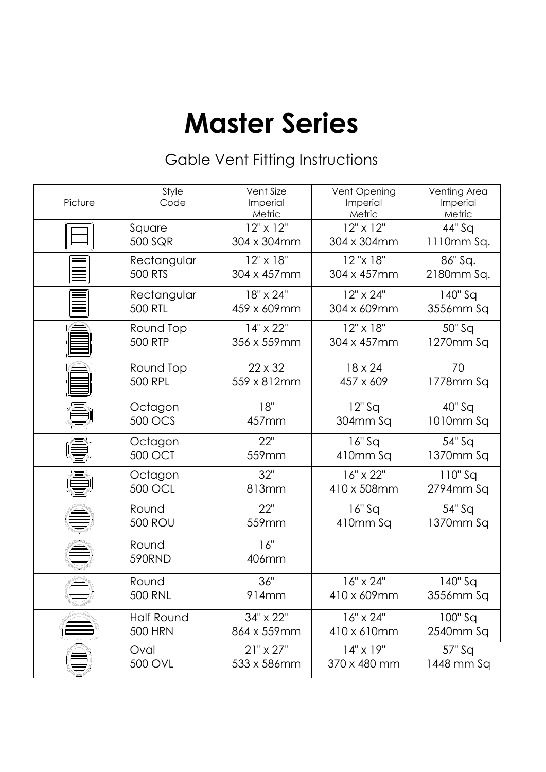# **Master Series**

## Gable Vent Fitting Instructions

| Picture | Style<br>Code     | Vent Size<br>Imperial<br>Metric | Vent Opening<br>Imperial<br>Metric | Venting Area<br>Imperial<br>Metric |
|---------|-------------------|---------------------------------|------------------------------------|------------------------------------|
|         | Square            | 12" x 12"                       | $12" \times 12"$                   | 44" Sq                             |
|         | 500 SQR           | 304 x 304mm                     | 304 x 304mm                        | 1110mm Sq.                         |
|         | Rectangular       | 12" x 18"                       | 12"x 18"                           | 86" Sq.                            |
|         | <b>500 RTS</b>    | 304 x 457mm                     | 304 x 457mm                        | 2180mm Sq.                         |
|         | Rectangular       | 18" x 24"                       | 12" x 24"                          | $140"$ Sq                          |
|         | <b>500 RTL</b>    | 459 x 609mm                     | 304 x 609mm                        | 3556mm Sq                          |
|         | Round Top         | 14" x 22"                       | 12" x 18"                          | 50" Sq                             |
|         | <b>500 RTP</b>    | 356 x 559mm                     | 304 x 457mm                        | 1270mm Sq                          |
|         | Round Top         | 22 x 32                         | 18 x 24                            | 70                                 |
|         | <b>500 RPL</b>    | 559 x 812mm                     | 457 x 609                          | 1778mm Sq                          |
|         | Octagon           | 18"                             | $12"$ Sq                           | 40" Sq                             |
|         | 500 OCS           | 457mm                           | 304mm Sq                           | 1010mm Sq                          |
|         | Octagon           | 22"                             | $16"$ Sq                           | 54" Sq                             |
|         | <b>500 OCT</b>    | 559mm                           | 410mm Sq                           | 1370mm Sq                          |
|         | Octagon           | 32"                             | 16" x 22"                          | $110"$ Sq                          |
|         | 500 OCL           | 813mm                           | 410 x 508mm                        | 2794mm Sq                          |
|         | Round             | 22"                             | $16"$ Sq                           | 54" Sq                             |
|         | <b>500 ROU</b>    | 559mm                           | 410mm Sq                           | 1370mm Sq                          |
|         | Round<br>590RND   | 16"<br>406mm                    |                                    |                                    |
|         | Round             | 36"                             | 16" x 24"                          | 140" Sq                            |
|         | <b>500 RNL</b>    | 914mm                           | 410 x 609mm                        | 3556mm Sq                          |
|         | <b>Half Round</b> | 34" x 22"                       | 16" x 24"                          | $100"$ Sq                          |
|         | <b>500 HRN</b>    | 864 x 559mm                     | 410 x 610mm                        | 2540mm Sq                          |
|         | Oval              | $21" \times 27"$                | $14" \times 19"$                   | 57" Sq                             |
|         | 500 OVL           | 533 x 586mm                     | 370 x 480 mm                       | 1448 mm Sq                         |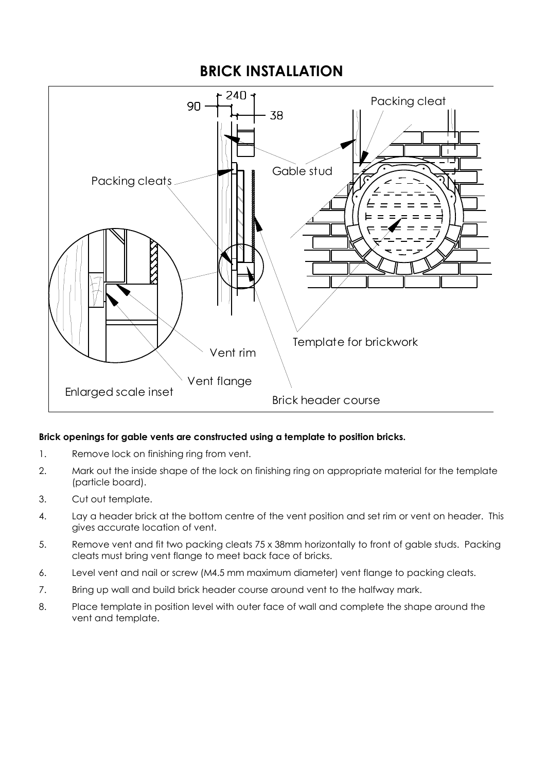#### **BRICK INSTALLATION**



#### **Brick openings for gable vents are constructed using a template to position bricks.**

- 1. Remove lock on finishing ring from vent.
- 2. Mark out the inside shape of the lock on finishing ring on appropriate material for the template (particle board).
- 3. Cut out template.
- 4. Lay a header brick at the bottom centre of the vent position and set rim or vent on header. This gives accurate location of vent.
- 5. Remove vent and fit two packing cleats 75 x 38mm horizontally to front of gable studs. Packing cleats must bring vent flange to meet back face of bricks.
- 6. Level vent and nail or screw (M4.5 mm maximum diameter) vent flange to packing cleats.
- 7. Bring up wall and build brick header course around vent to the halfway mark.
- 8. Place template in position level with outer face of wall and complete the shape around the vent and template.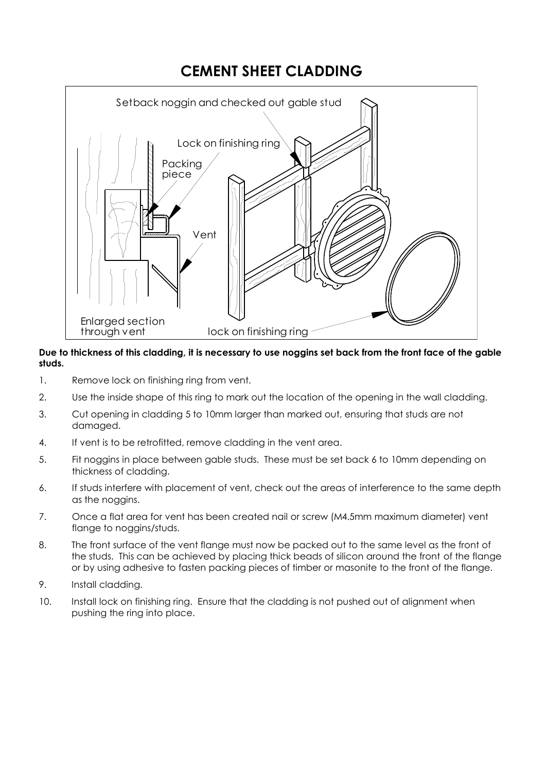### **CEMENT SHEET CLADDING**



#### **Due to thickness of this cladding, it is necessary to use noggins set back from the front face of the gable studs.**

- 1. Remove lock on finishing ring from vent.
- 2. Use the inside shape of this ring to mark out the location of the opening in the wall cladding.
- 3. Cut opening in cladding 5 to 10mm larger than marked out, ensuring that studs are not damaged.
- 4. If vent is to be retrofitted, remove cladding in the vent area.
- 5. Fit noggins in place between gable studs. These must be set back 6 to 10mm depending on thickness of cladding.
- 6. If studs interfere with placement of vent, check out the areas of interference to the same depth as the noggins.
- 7. Once a flat area for vent has been created nail or screw (M4.5mm maximum diameter) vent flange to noggins/studs.
- 8. The front surface of the vent flange must now be packed out to the same level as the front of the studs. This can be achieved by placing thick beads of silicon around the front of the flange or by using adhesive to fasten packing pieces of timber or masonite to the front of the flange.
- 9. Install cladding.
- 10. Install lock on finishing ring. Ensure that the cladding is not pushed out of alignment when pushing the ring into place.